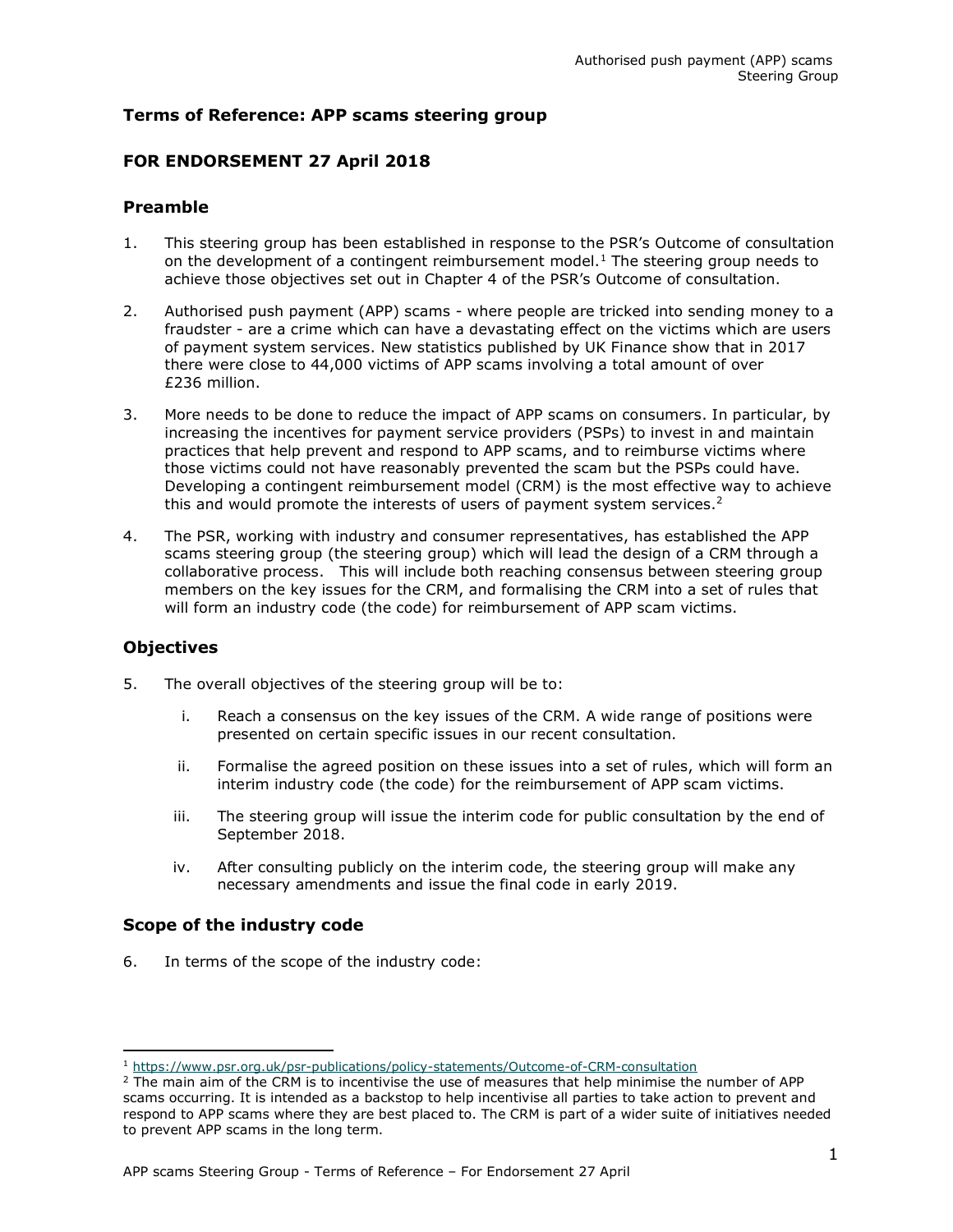## Terms of Reference: APP scams steering group

## FOR ENDORSEMENT 27 April 2018

### Preamble

- 1. This steering group has been established in response to the PSR's Outcome of consultation on the development of a contingent reimbursement model.<sup>1</sup> The steering group needs to achieve those objectives set out in Chapter 4 of the PSR's Outcome of consultation.
- 2. Authorised push payment (APP) scams where people are tricked into sending money to a fraudster - are a crime which can have a devastating effect on the victims which are users of payment system services. New statistics published by UK Finance show that in 2017 there were close to 44,000 victims of APP scams involving a total amount of over £236 million.
- 3. More needs to be done to reduce the impact of APP scams on consumers. In particular, by increasing the incentives for payment service providers (PSPs) to invest in and maintain practices that help prevent and respond to APP scams, and to reimburse victims where those victims could not have reasonably prevented the scam but the PSPs could have. Developing a contingent reimbursement model (CRM) is the most effective way to achieve this and would promote the interests of users of payment system services.<sup>2</sup>
- 4. The PSR, working with industry and consumer representatives, has established the APP scams steering group (the steering group) which will lead the design of a CRM through a collaborative process. This will include both reaching consensus between steering group members on the key issues for the CRM, and formalising the CRM into a set of rules that will form an industry code (the code) for reimbursement of APP scam victims.

## **Objectives**

ı

- 5. The overall objectives of the steering group will be to:
	- i. Reach a consensus on the key issues of the CRM. A wide range of positions were presented on certain specific issues in our recent consultation.
	- ii. Formalise the agreed position on these issues into a set of rules, which will form an interim industry code (the code) for the reimbursement of APP scam victims.
	- iii. The steering group will issue the interim code for public consultation by the end of September 2018.
	- iv. After consulting publicly on the interim code, the steering group will make any necessary amendments and issue the final code in early 2019.

## Scope of the industry code

6. In terms of the scope of the industry code:

<sup>1</sup> https://www.psr.org.uk/psr-publications/policy-statements/Outcome-of-CRM-consultation

<sup>&</sup>lt;sup>2</sup> The main aim of the CRM is to incentivise the use of measures that help minimise the number of APP scams occurring. It is intended as a backstop to help incentivise all parties to take action to prevent and respond to APP scams where they are best placed to. The CRM is part of a wider suite of initiatives needed to prevent APP scams in the long term.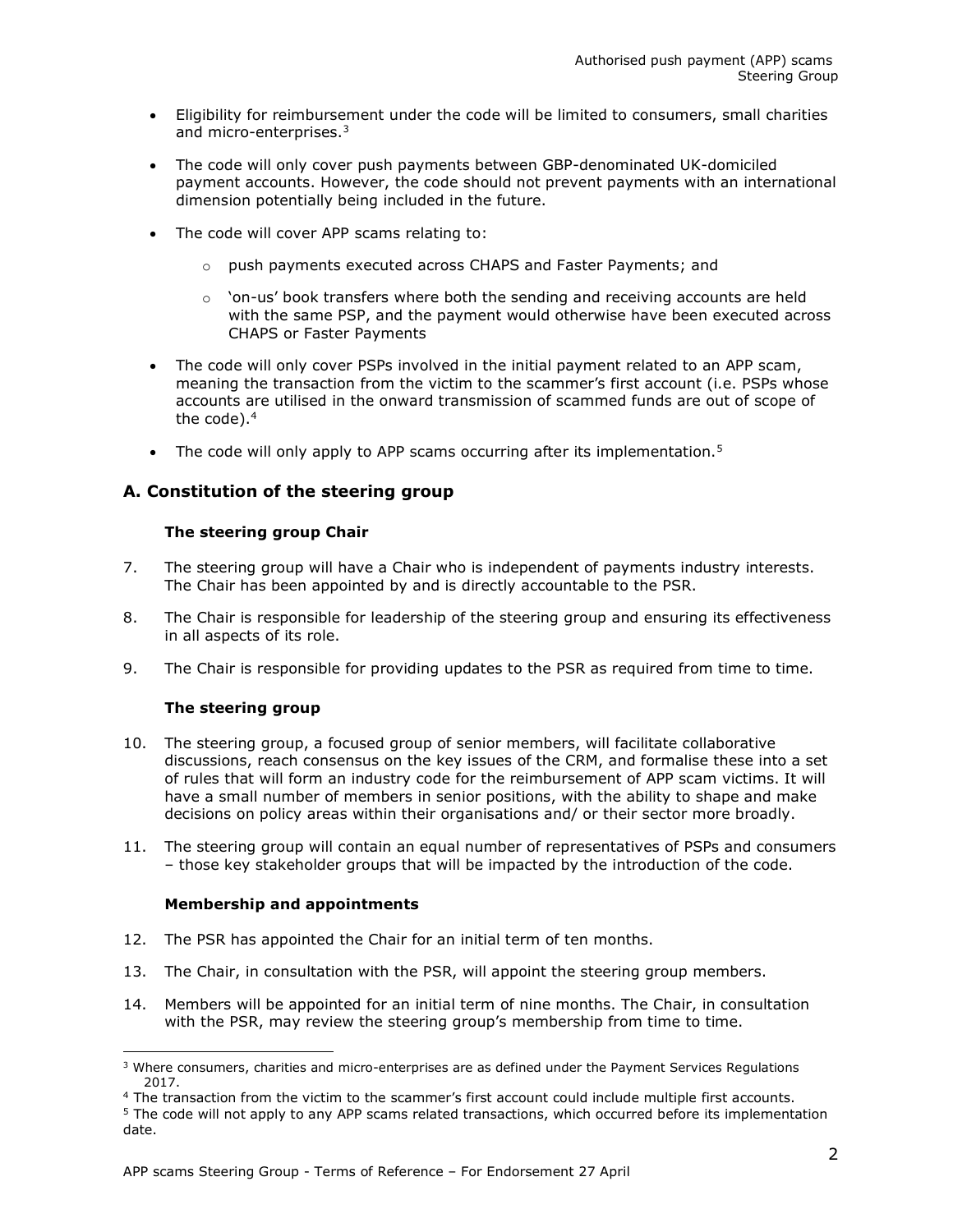- Eligibility for reimbursement under the code will be limited to consumers, small charities and micro-enterprises.<sup>3</sup>
- The code will only cover push payments between GBP-denominated UK-domiciled payment accounts. However, the code should not prevent payments with an international dimension potentially being included in the future.
- The code will cover APP scams relating to:
	- o push payments executed across CHAPS and Faster Payments; and
	- $\circ$  'on-us' book transfers where both the sending and receiving accounts are held with the same PSP, and the payment would otherwise have been executed across CHAPS or Faster Payments
- The code will only cover PSPs involved in the initial payment related to an APP scam, meaning the transaction from the victim to the scammer's first account (i.e. PSPs whose accounts are utilised in the onward transmission of scammed funds are out of scope of the code).<sup>4</sup>
- The code will only apply to APP scams occurring after its implementation.<sup>5</sup>

# A. Constitution of the steering group

## The steering group Chair

- 7. The steering group will have a Chair who is independent of payments industry interests. The Chair has been appointed by and is directly accountable to the PSR.
- 8. The Chair is responsible for leadership of the steering group and ensuring its effectiveness in all aspects of its role.
- 9. The Chair is responsible for providing updates to the PSR as required from time to time.

## The steering group

- 10. The steering group, a focused group of senior members, will facilitate collaborative discussions, reach consensus on the key issues of the CRM, and formalise these into a set of rules that will form an industry code for the reimbursement of APP scam victims. It will have a small number of members in senior positions, with the ability to shape and make decisions on policy areas within their organisations and/ or their sector more broadly.
- 11. The steering group will contain an equal number of representatives of PSPs and consumers – those key stakeholder groups that will be impacted by the introduction of the code.

#### Membership and appointments

- 12. The PSR has appointed the Chair for an initial term of ten months.
- 13. The Chair, in consultation with the PSR, will appoint the steering group members.
- 14. Members will be appointed for an initial term of nine months. The Chair, in consultation with the PSR, may review the steering group's membership from time to time.

 <sup>3</sup> Where consumers, charities and micro-enterprises are as defined under the Payment Services Regulations 2017.

<sup>&</sup>lt;sup>4</sup> The transaction from the victim to the scammer's first account could include multiple first accounts.

<sup>&</sup>lt;sup>5</sup> The code will not apply to any APP scams related transactions, which occurred before its implementation date.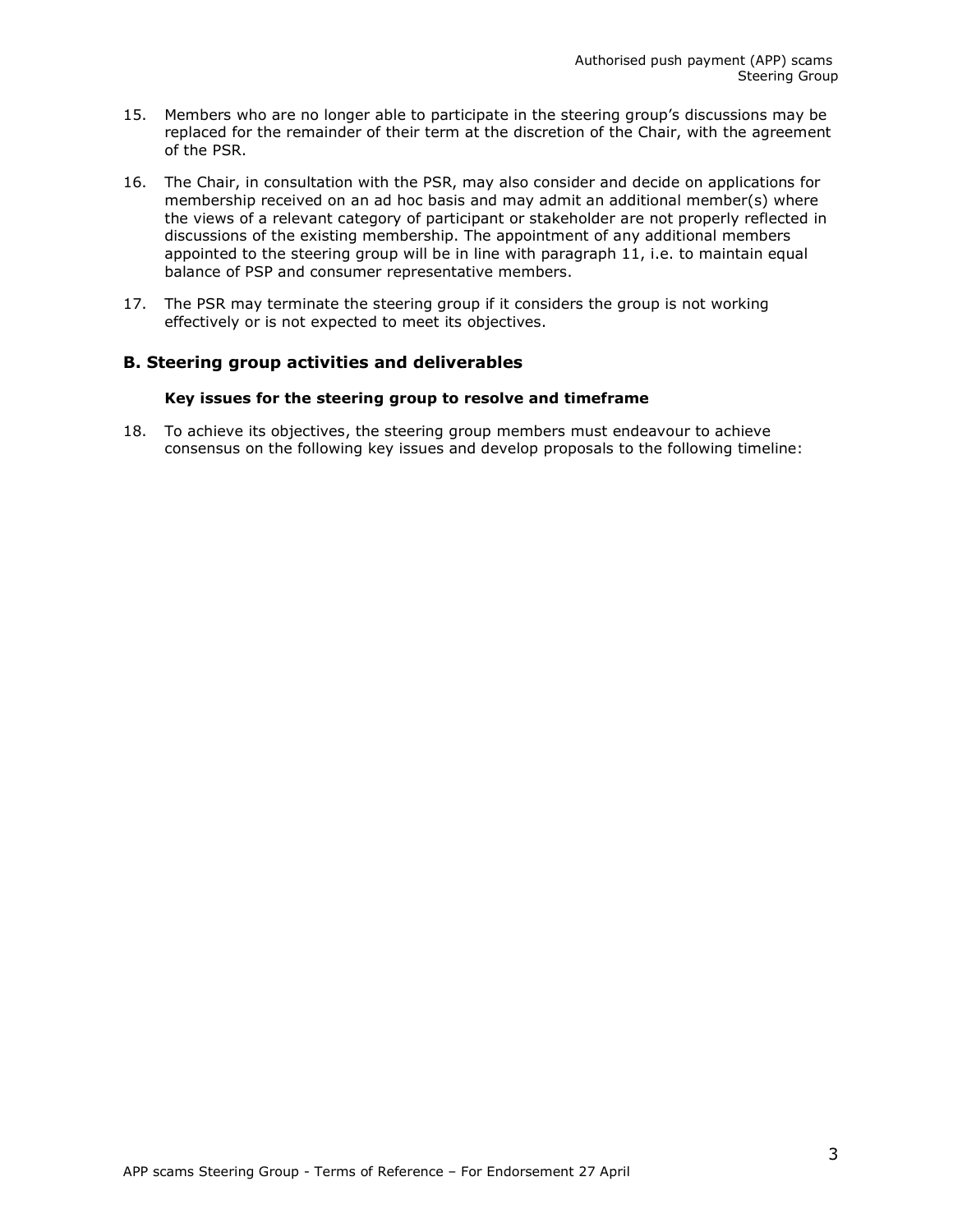- 15. Members who are no longer able to participate in the steering group's discussions may be replaced for the remainder of their term at the discretion of the Chair, with the agreement of the PSR.
- 16. The Chair, in consultation with the PSR, may also consider and decide on applications for membership received on an ad hoc basis and may admit an additional member(s) where the views of a relevant category of participant or stakeholder are not properly reflected in discussions of the existing membership. The appointment of any additional members appointed to the steering group will be in line with paragraph 11, i.e. to maintain equal balance of PSP and consumer representative members.
- 17. The PSR may terminate the steering group if it considers the group is not working effectively or is not expected to meet its objectives.

## B. Steering group activities and deliverables

#### Key issues for the steering group to resolve and timeframe

18. To achieve its objectives, the steering group members must endeavour to achieve consensus on the following key issues and develop proposals to the following timeline: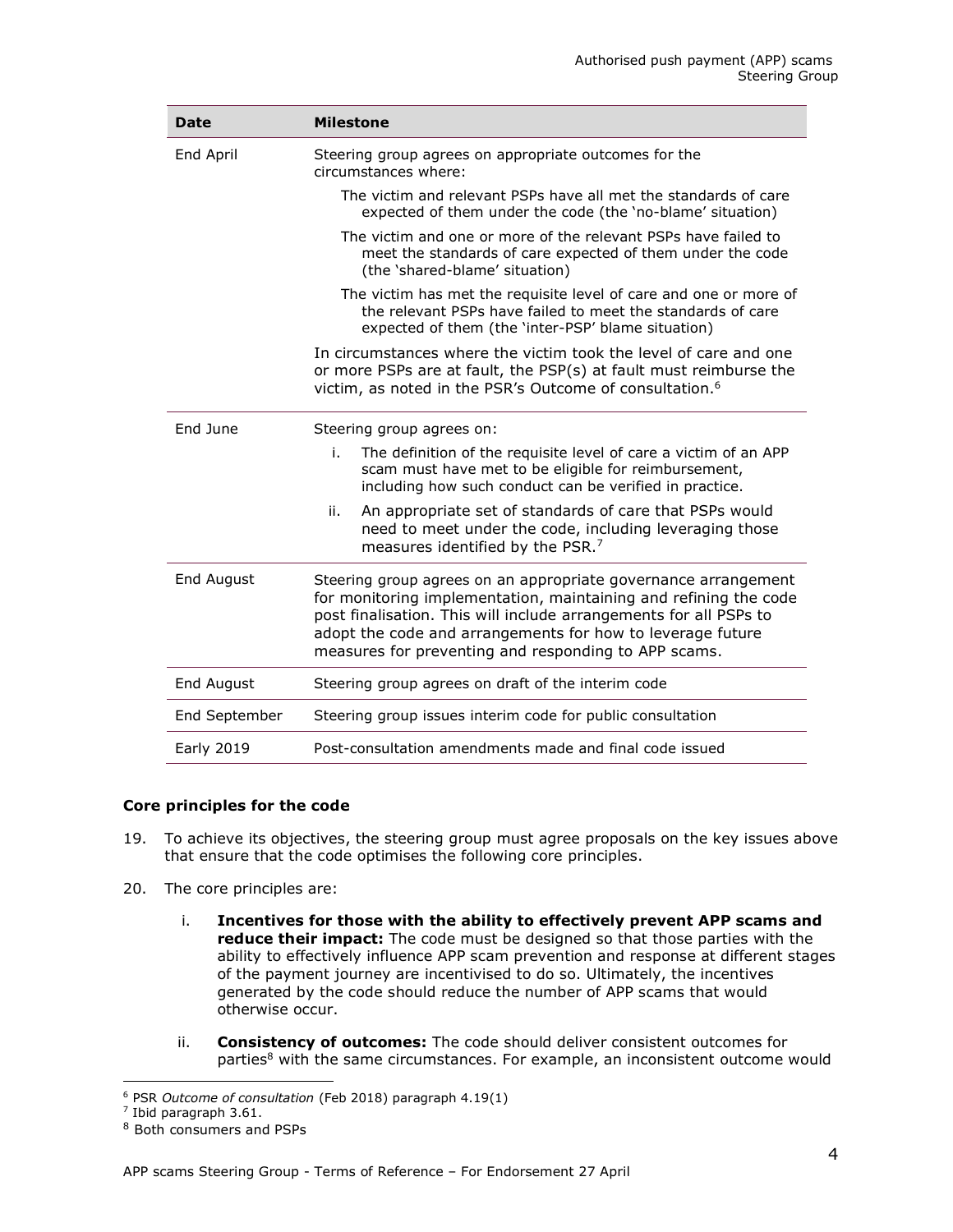| Date              | <b>Milestone</b>                                                                                                                                                                                                                                                                                                              |
|-------------------|-------------------------------------------------------------------------------------------------------------------------------------------------------------------------------------------------------------------------------------------------------------------------------------------------------------------------------|
| End April         | Steering group agrees on appropriate outcomes for the<br>circumstances where:                                                                                                                                                                                                                                                 |
|                   | The victim and relevant PSPs have all met the standards of care<br>expected of them under the code (the 'no-blame' situation)                                                                                                                                                                                                 |
|                   | The victim and one or more of the relevant PSPs have failed to<br>meet the standards of care expected of them under the code<br>(the 'shared-blame' situation)                                                                                                                                                                |
|                   | The victim has met the requisite level of care and one or more of<br>the relevant PSPs have failed to meet the standards of care<br>expected of them (the 'inter-PSP' blame situation)                                                                                                                                        |
|                   | In circumstances where the victim took the level of care and one<br>or more PSPs are at fault, the PSP(s) at fault must reimburse the<br>victim, as noted in the PSR's Outcome of consultation. <sup>6</sup>                                                                                                                  |
| Fnd June          | Steering group agrees on:                                                                                                                                                                                                                                                                                                     |
|                   | The definition of the requisite level of care a victim of an APP<br>i.<br>scam must have met to be eligible for reimbursement,<br>including how such conduct can be verified in practice.                                                                                                                                     |
|                   | An appropriate set of standards of care that PSPs would<br>ii.<br>need to meet under the code, including leveraging those<br>measures identified by the PSR. <sup>7</sup>                                                                                                                                                     |
| End August        | Steering group agrees on an appropriate governance arrangement<br>for monitoring implementation, maintaining and refining the code<br>post finalisation. This will include arrangements for all PSPs to<br>adopt the code and arrangements for how to leverage future<br>measures for preventing and responding to APP scams. |
| End August        | Steering group agrees on draft of the interim code                                                                                                                                                                                                                                                                            |
| End September     | Steering group issues interim code for public consultation                                                                                                                                                                                                                                                                    |
| <b>Early 2019</b> | Post-consultation amendments made and final code issued                                                                                                                                                                                                                                                                       |

#### Core principles for the code

- 19. To achieve its objectives, the steering group must agree proposals on the key issues above that ensure that the code optimises the following core principles.
- 20. The core principles are:
	- i. Incentives for those with the ability to effectively prevent APP scams and reduce their impact: The code must be designed so that those parties with the ability to effectively influence APP scam prevention and response at different stages of the payment journey are incentivised to do so. Ultimately, the incentives generated by the code should reduce the number of APP scams that would otherwise occur.
	- ii. **Consistency of outcomes:** The code should deliver consistent outcomes for parties<sup>8</sup> with the same circumstances. For example, an inconsistent outcome would

 <sup>6</sup> PSR Outcome of consultation (Feb 2018) paragraph 4.19(1)

 $^7$  Ibid paragraph 3.61.

<sup>8</sup> Both consumers and PSPs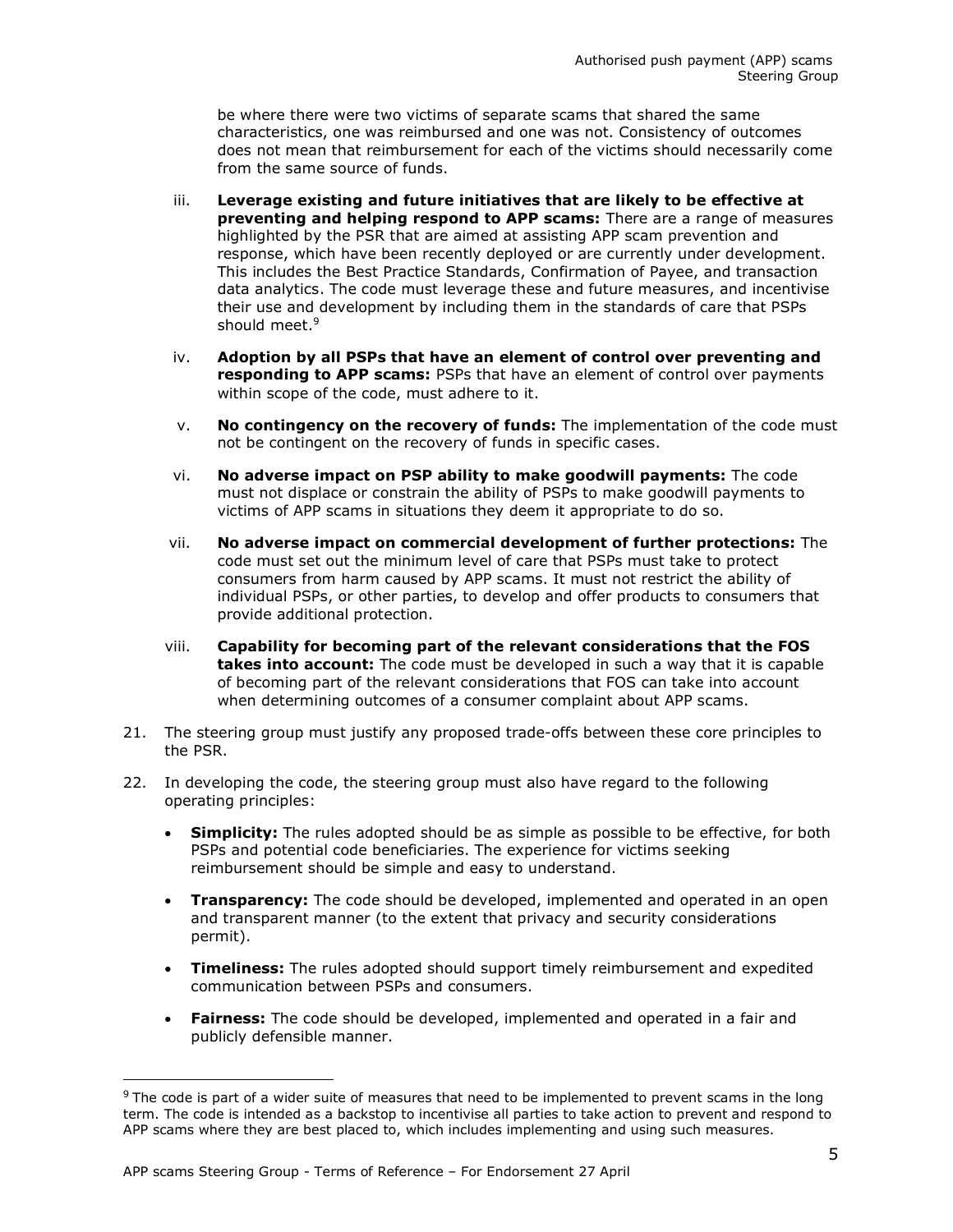be where there were two victims of separate scams that shared the same characteristics, one was reimbursed and one was not. Consistency of outcomes does not mean that reimbursement for each of the victims should necessarily come from the same source of funds.

- iii. Leverage existing and future initiatives that are likely to be effective at preventing and helping respond to APP scams: There are a range of measures highlighted by the PSR that are aimed at assisting APP scam prevention and response, which have been recently deployed or are currently under development. This includes the Best Practice Standards, Confirmation of Payee, and transaction data analytics. The code must leverage these and future measures, and incentivise their use and development by including them in the standards of care that PSPs should meet.<sup>9</sup>
- iv. Adoption by all PSPs that have an element of control over preventing and responding to APP scams: PSPs that have an element of control over payments within scope of the code, must adhere to it.
- $v.$  No contingency on the recovery of funds: The implementation of the code must not be contingent on the recovery of funds in specific cases.
- vi. No adverse impact on PSP ability to make goodwill payments: The code must not displace or constrain the ability of PSPs to make goodwill payments to victims of APP scams in situations they deem it appropriate to do so.
- vii. No adverse impact on commercial development of further protections: The code must set out the minimum level of care that PSPs must take to protect consumers from harm caused by APP scams. It must not restrict the ability of individual PSPs, or other parties, to develop and offer products to consumers that provide additional protection.
- viii. Capability for becoming part of the relevant considerations that the FOS **takes into account:** The code must be developed in such a way that it is capable of becoming part of the relevant considerations that FOS can take into account when determining outcomes of a consumer complaint about APP scams.
- 21. The steering group must justify any proposed trade-offs between these core principles to the PSR.
- 22. In developing the code, the steering group must also have regard to the following operating principles:
	- **Simplicity:** The rules adopted should be as simple as possible to be effective, for both PSPs and potential code beneficiaries. The experience for victims seeking reimbursement should be simple and easy to understand.
	- **Transparency:** The code should be developed, implemented and operated in an open and transparent manner (to the extent that privacy and security considerations permit).
	- Timeliness: The rules adopted should support timely reimbursement and expedited communication between PSPs and consumers.
	- Fairness: The code should be developed, implemented and operated in a fair and publicly defensible manner.

ı

<sup>&</sup>lt;sup>9</sup> The code is part of a wider suite of measures that need to be implemented to prevent scams in the long term. The code is intended as a backstop to incentivise all parties to take action to prevent and respond to APP scams where they are best placed to, which includes implementing and using such measures.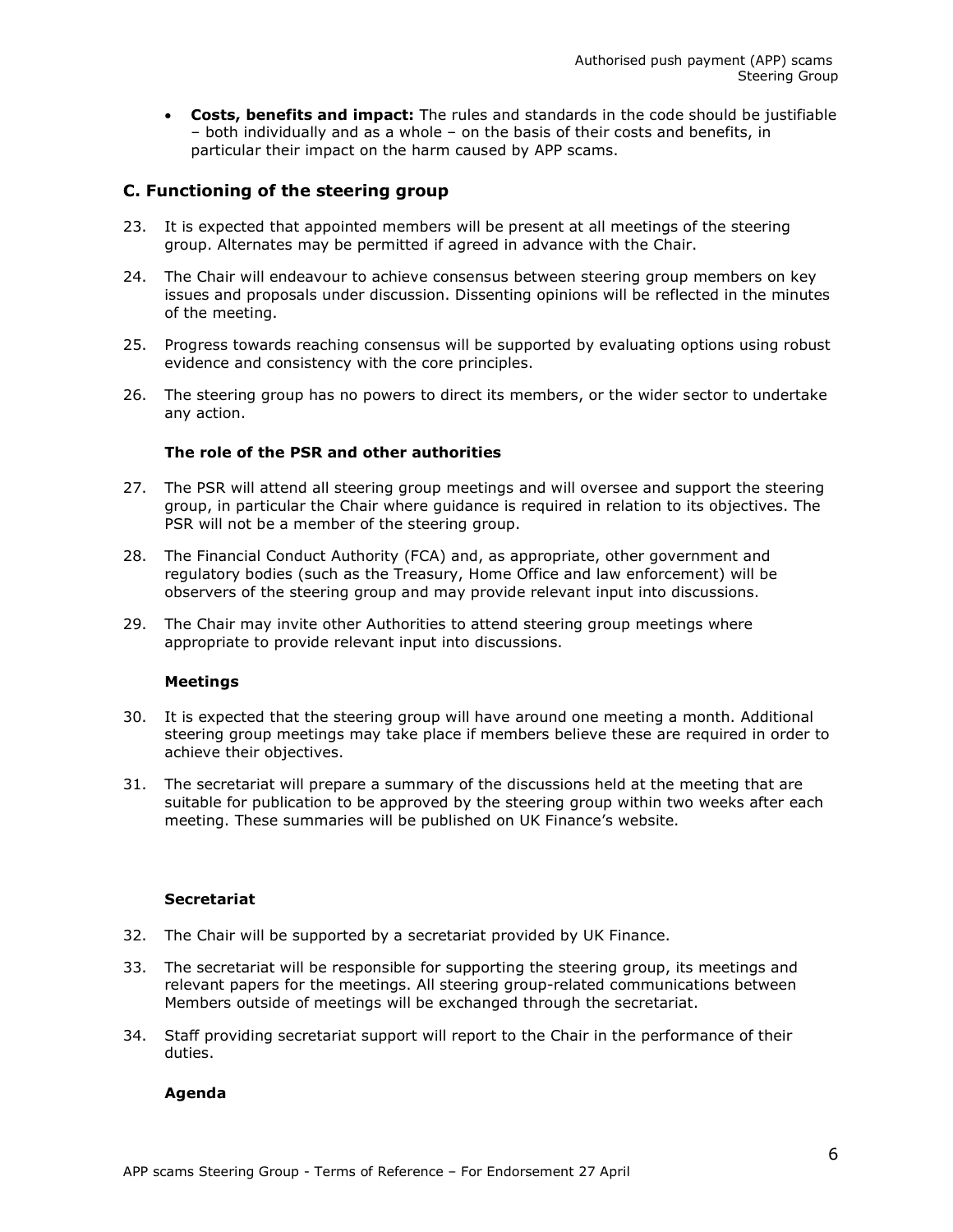• Costs, benefits and impact: The rules and standards in the code should be justifiable – both individually and as a whole – on the basis of their costs and benefits, in particular their impact on the harm caused by APP scams.

# C. Functioning of the steering group

- 23. It is expected that appointed members will be present at all meetings of the steering group. Alternates may be permitted if agreed in advance with the Chair.
- 24. The Chair will endeavour to achieve consensus between steering group members on key issues and proposals under discussion. Dissenting opinions will be reflected in the minutes of the meeting.
- 25. Progress towards reaching consensus will be supported by evaluating options using robust evidence and consistency with the core principles.
- 26. The steering group has no powers to direct its members, or the wider sector to undertake any action.

### The role of the PSR and other authorities

- 27. The PSR will attend all steering group meetings and will oversee and support the steering group, in particular the Chair where guidance is required in relation to its objectives. The PSR will not be a member of the steering group.
- 28. The Financial Conduct Authority (FCA) and, as appropriate, other government and regulatory bodies (such as the Treasury, Home Office and law enforcement) will be observers of the steering group and may provide relevant input into discussions.
- 29. The Chair may invite other Authorities to attend steering group meetings where appropriate to provide relevant input into discussions.

#### Meetings

- 30. It is expected that the steering group will have around one meeting a month. Additional steering group meetings may take place if members believe these are required in order to achieve their objectives.
- 31. The secretariat will prepare a summary of the discussions held at the meeting that are suitable for publication to be approved by the steering group within two weeks after each meeting. These summaries will be published on UK Finance's website.

#### **Secretariat**

- 32. The Chair will be supported by a secretariat provided by UK Finance.
- 33. The secretariat will be responsible for supporting the steering group, its meetings and relevant papers for the meetings. All steering group-related communications between Members outside of meetings will be exchanged through the secretariat.
- 34. Staff providing secretariat support will report to the Chair in the performance of their duties.

#### Agenda